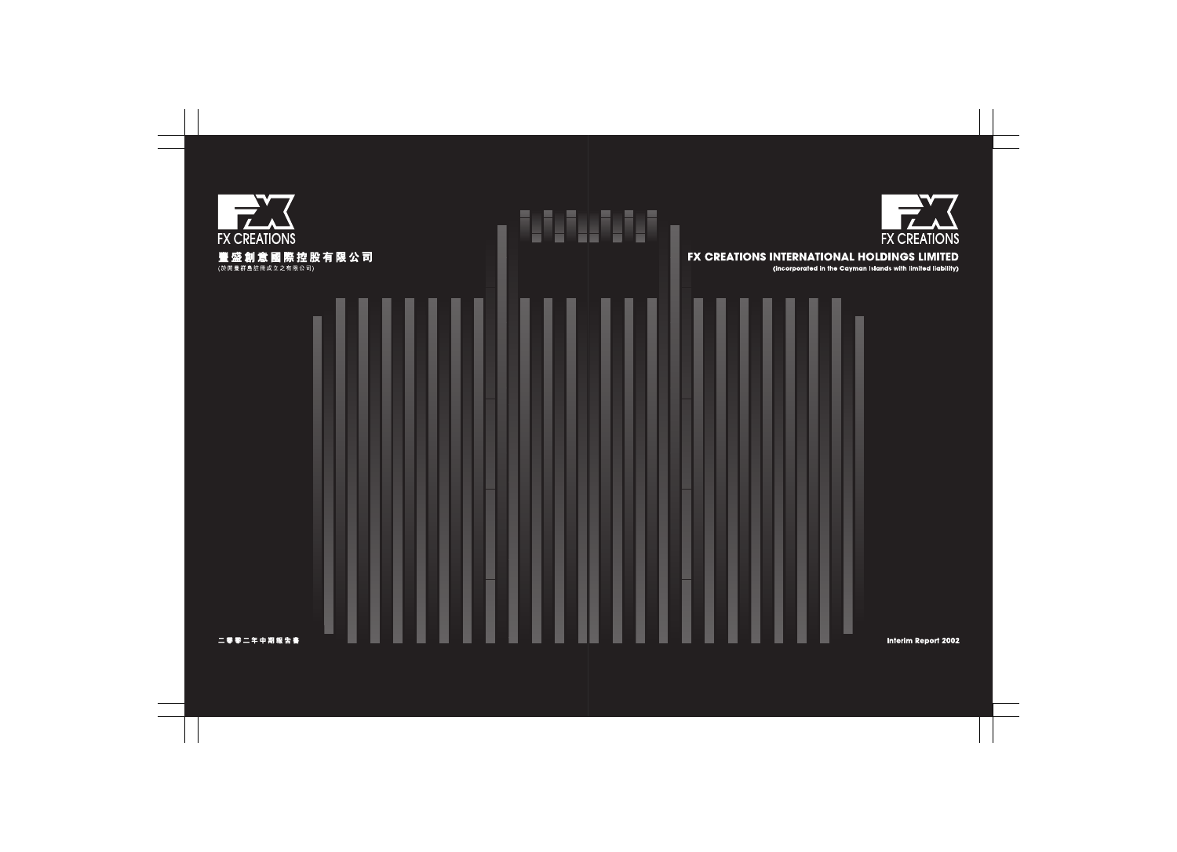

# FX CREATIONS INTERNATIONAL HOLDINGS LIMITED

(incorporated in the Cayman Islands with limited liability)



**Interim Report 2002**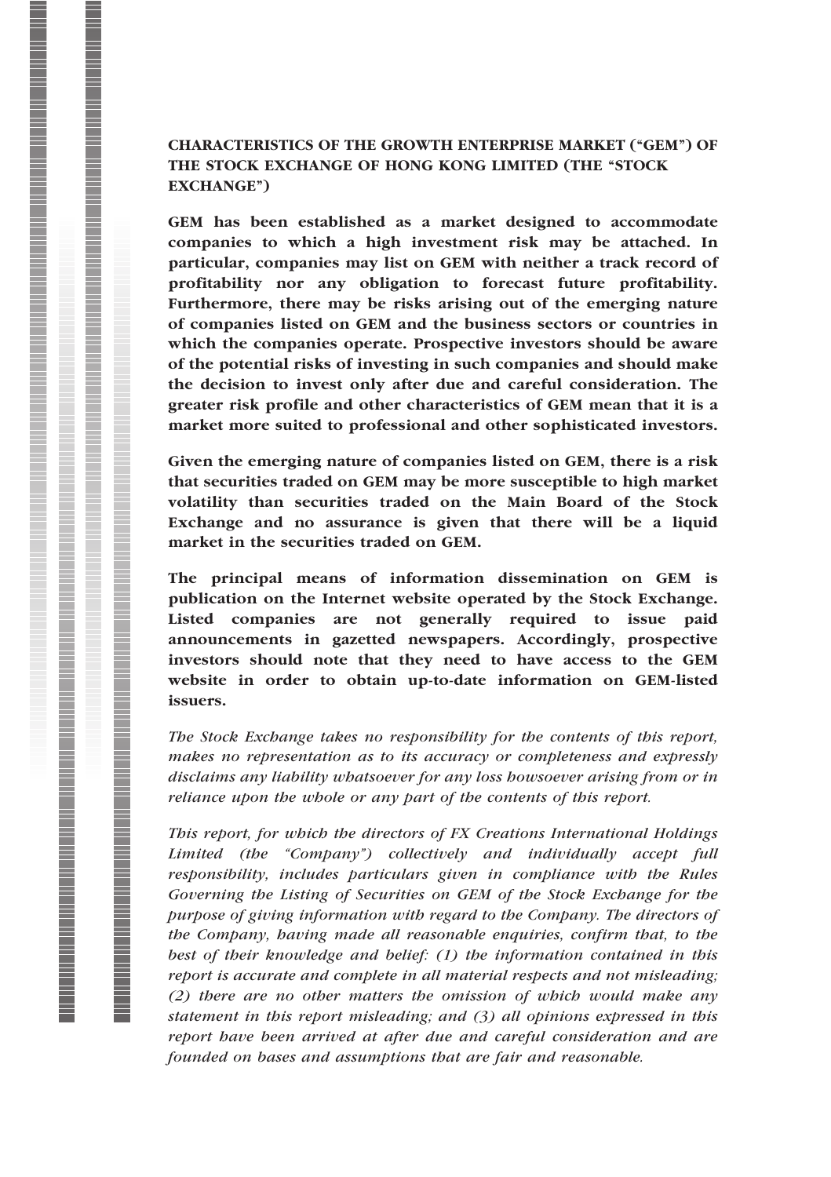## CHARACTERISTICS OF THE GROWTH ENTERPRISE MARKET (''GEM'') OF THE STOCK EXCHANGE OF HONG KONG LIMITED (THE "STOCK EXCHANGE'')

GEM has been established as a market designed to accommodate companies to which a high investment risk may be attached. In particular, companies may list on GEM with neither a track record of profitability nor any obligation to forecast future profitability. Furthermore, there may be risks arising out of the emerging nature of companies listed on GEM and the business sectors or countries in which the companies operate. Prospective investors should be aware of the potential risks of investing in such companies and should make the decision to invest only after due and careful consideration. The greater risk profile and other characteristics of GEM mean that it is a market more suited to professional and other sophisticated investors.

Given the emerging nature of companies listed on GEM, there is a risk that securities traded on GEM may be more susceptible to high market volatility than securities traded on the Main Board of the Stock Exchange and no assurance is given that there will be a liquid market in the securities traded on GEM.

The principal means of information dissemination on GEM is publication on the Internet website operated by the Stock Exchange. Listed companies are not generally required to issue paid announcements in gazetted newspapers. Accordingly, prospective investors should note that they need to have access to the GEM website in order to obtain up-to-date information on GEM-listed issuers.

The Stock Exchange takes no responsibility for the contents of this report, makes no representation as to its accuracy or completeness and expressly disclaims any liability whatsoever for any loss howsoever arising from or in reliance upon the whole or any part of the contents of this report.

This report, for which the directors of FX Creations International Holdings Limited (the ''Company'') collectively and individually accept full responsibility, includes particulars given in compliance with the Rules Governing the Listing of Securities on GEM of the Stock Exchange for the purpose of giving information with regard to the Company. The directors of the Company, having made all reasonable enquiries, confirm that, to the best of their knowledge and belief: (1) the information contained in this report is accurate and complete in all material respects and not misleading; (2) there are no other matters the omission of which would make any statement in this report misleading; and (3) all opinions expressed in this report have been arrived at after due and careful consideration and are founded on bases and assumptions that are fair and reasonable.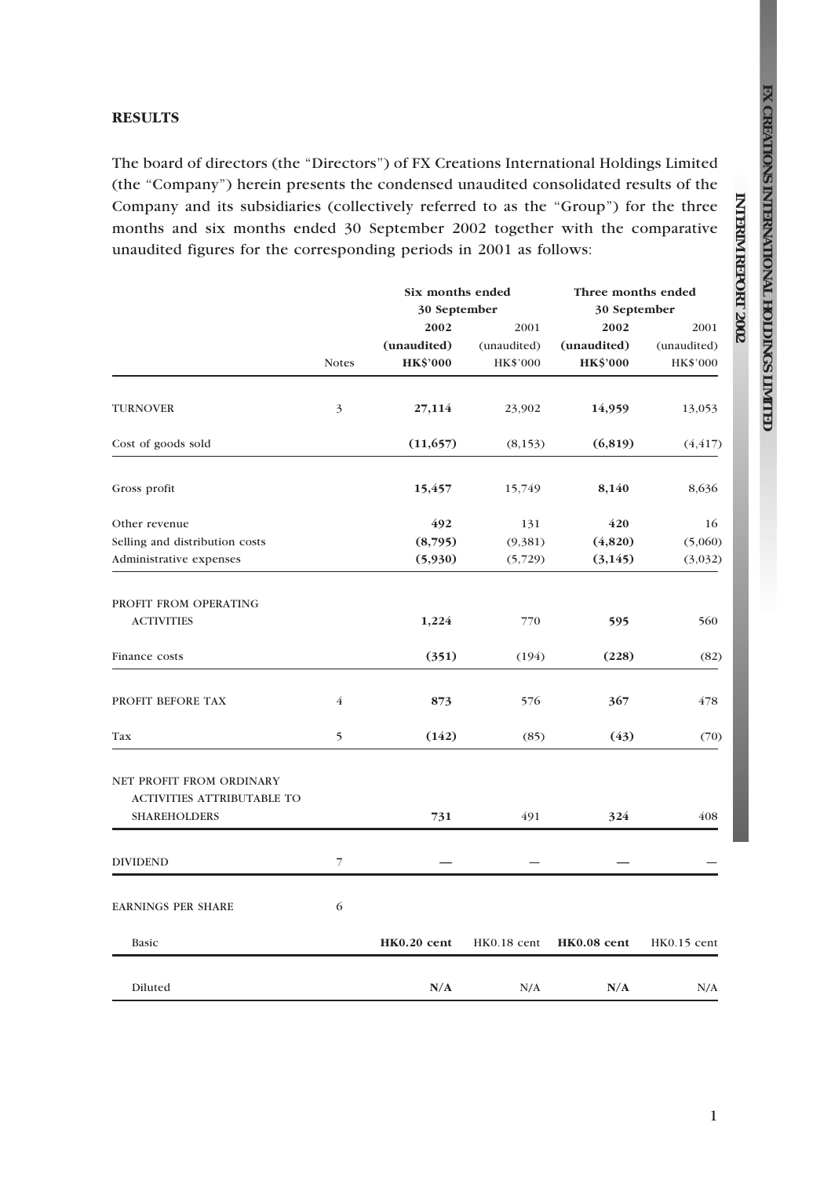**REPORT**

 **2002**

#### **RESULTS**

The board of directors (the "Directors") of FX Creations International Holdings Limited (the ''Company'') herein presents the condensed unaudited consolidated results of the Company and its subsidiaries (collectively referred to as the "Group") for the three months and six months ended 30 September 2002 together with the comparative unaudited figures for the corresponding periods in 2001 as follows:

|                                                        |                | Six months ended |             | Three months ended |             |  |  |
|--------------------------------------------------------|----------------|------------------|-------------|--------------------|-------------|--|--|
|                                                        |                | 30 September     |             | 30 September       |             |  |  |
|                                                        |                | 2002             | 2001        | 2002               | 2001        |  |  |
|                                                        |                | (unaudited)      | (unaudited) | (unaudited)        | (unaudited) |  |  |
|                                                        | <b>Notes</b>   | <b>HK\$'000</b>  | HK\$'000    | <b>HK\$'000</b>    | HK\$'000    |  |  |
| <b>TURNOVER</b>                                        | 3              | 27,114           | 23,902      | 14,959             | 13,053      |  |  |
| Cost of goods sold                                     |                | (11, 657)        | (8, 153)    | (6, 819)           | (4, 417)    |  |  |
| Gross profit                                           |                | 15,457           | 15,749      | 8,140              | 8,636       |  |  |
| Other revenue                                          |                | 492              | 131         | 420                | 16          |  |  |
| Selling and distribution costs                         |                | (8,795)          | (9,381)     | (4,820)            | (5,060)     |  |  |
| Administrative expenses                                |                | (5,930)          | (5,729)     | (3,145)            | (3,032)     |  |  |
| PROFIT FROM OPERATING<br><b>ACTIVITIES</b>             |                | 1,224            | 770         | 595                | 560         |  |  |
|                                                        |                |                  |             |                    |             |  |  |
| Finance costs                                          |                | (351)            | (194)       | (228)              | (82)        |  |  |
| PROFIT BEFORE TAX                                      | $\overline{4}$ | 873              | 576         | 367                | 478         |  |  |
| Tax                                                    | 5              | (142)            | (85)        | (43)               | (70)        |  |  |
| NET PROFIT FROM ORDINARY<br>ACTIVITIES ATTRIBUTABLE TO |                |                  |             |                    |             |  |  |
| <b>SHAREHOLDERS</b>                                    |                | 731              | 491         | 324                | 408         |  |  |
| <b>DIVIDEND</b>                                        | 7              |                  |             |                    |             |  |  |
| <b>EARNINGS PER SHARE</b>                              | 6              |                  |             |                    |             |  |  |
| Basic                                                  |                | HK0.20 cent      | HK0.18 cent | HK0.08 cent        | HK0.15 cent |  |  |
| Diluted                                                |                | N/A              | N/A         | N/A                | N/A         |  |  |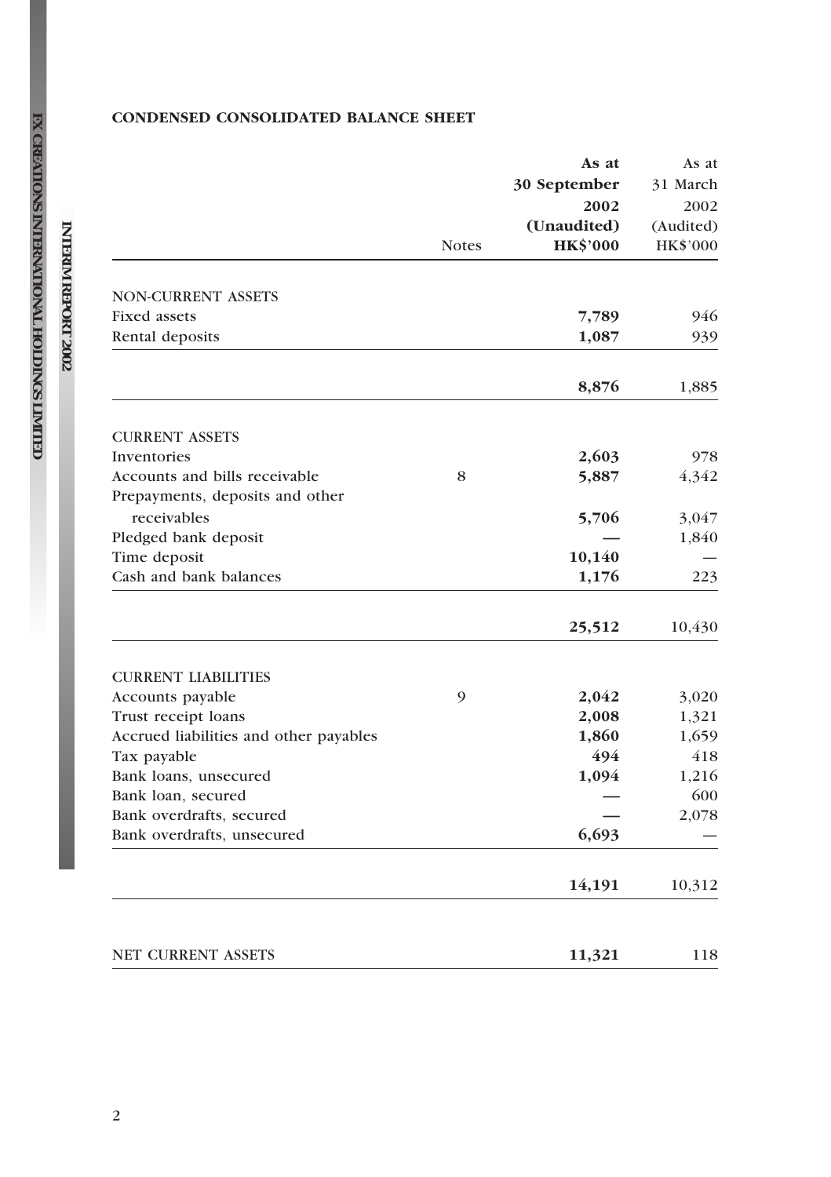## CONDENSED CONSOLIDATED BALANCE SHEET

|                                        | <b>Notes</b> | As at<br>30 September<br>2002<br>(Unaudited)<br><b>HK\$'000</b> | As at<br>31 March<br>2002<br>(Audited)<br>HK\$'000 |
|----------------------------------------|--------------|-----------------------------------------------------------------|----------------------------------------------------|
|                                        |              |                                                                 |                                                    |
| <b>NON-CURRENT ASSETS</b>              |              |                                                                 |                                                    |
| <b>Fixed assets</b>                    |              | 7,789                                                           | 946                                                |
| Rental deposits                        |              | 1,087                                                           | 939                                                |
|                                        |              | 8,876                                                           | 1,885                                              |
| <b>CURRENT ASSETS</b>                  |              |                                                                 |                                                    |
| Inventories                            |              | 2,603                                                           | 978                                                |
| Accounts and bills receivable          | 8            | 5,887                                                           | 4,342                                              |
| Prepayments, deposits and other        |              |                                                                 |                                                    |
| receivables                            |              | 5,706                                                           | 3,047                                              |
| Pledged bank deposit                   |              |                                                                 | 1,840                                              |
| Time deposit                           |              | 10,140                                                          |                                                    |
| Cash and bank balances                 |              | 1,176                                                           | 223                                                |
|                                        |              | 25,512                                                          | 10,430                                             |
| <b>CURRENT LIABILITIES</b>             |              |                                                                 |                                                    |
| Accounts payable                       | 9            | 2,042                                                           | 3,020                                              |
| Trust receipt loans                    |              | 2,008                                                           | 1,321                                              |
| Accrued liabilities and other payables |              | 1,860                                                           | 1,659                                              |
| Tax payable                            |              | 494                                                             | 418                                                |
| Bank loans, unsecured                  |              | 1,094                                                           | 1,216                                              |
| Bank loan, secured                     |              |                                                                 | 600                                                |
| Bank overdrafts, secured               |              |                                                                 | 2,078                                              |
| Bank overdrafts, unsecured             |              | 6,693                                                           |                                                    |
|                                        |              | 14,191                                                          | 10,312                                             |
| <b>NET CURRENT ASSETS</b>              |              | 11,321                                                          | 118                                                |

**FX** 

**INTERIM**

 **REPORT**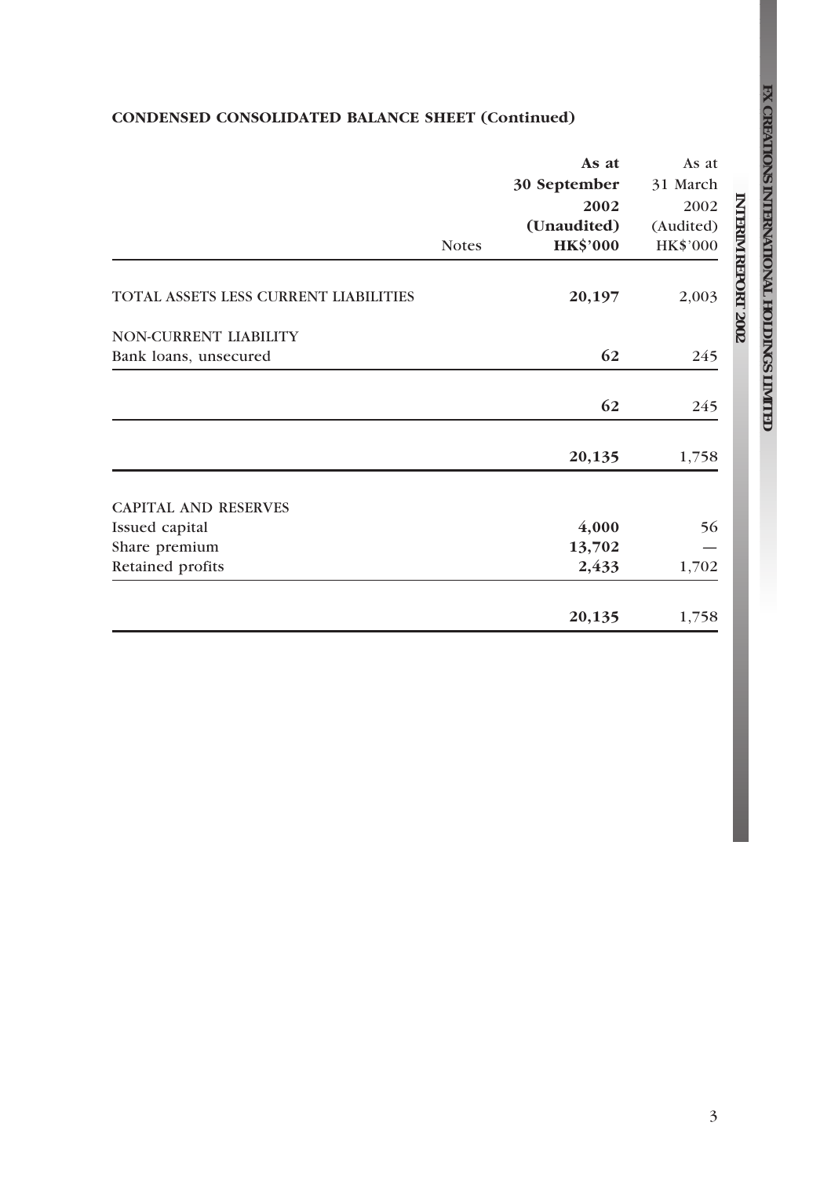## CONDENSED CONSOLIDATED BALANCE SHEET (Continued)

|                                       | <b>Notes</b> | As at<br>30 September<br>2002<br>(Unaudited)<br><b>HK\$'000</b> | As at<br>31 March<br>2002<br>(Audited)<br>HK\$'000 |
|---------------------------------------|--------------|-----------------------------------------------------------------|----------------------------------------------------|
| TOTAL ASSETS LESS CURRENT LIABILITIES |              | 20,197                                                          | 2,003                                              |
| NON-CURRENT LIABILITY                 |              |                                                                 |                                                    |
| Bank loans, unsecured                 |              | 62                                                              | 245                                                |
|                                       |              | 62                                                              | 245                                                |
|                                       |              | 20,135                                                          | 1,758                                              |
| <b>CAPITAL AND RESERVES</b>           |              |                                                                 |                                                    |
| Issued capital                        |              | 4,000                                                           | 56                                                 |
| Share premium                         |              | 13,702                                                          |                                                    |
| Retained profits                      |              | 2,433                                                           | 1,702                                              |
|                                       |              | 20,135                                                          | 1,758                                              |

**CREATIONS INTERNATIONAL HOLDINGS LIMITED**

**FX** 

**INTERIM**

 **REPORT**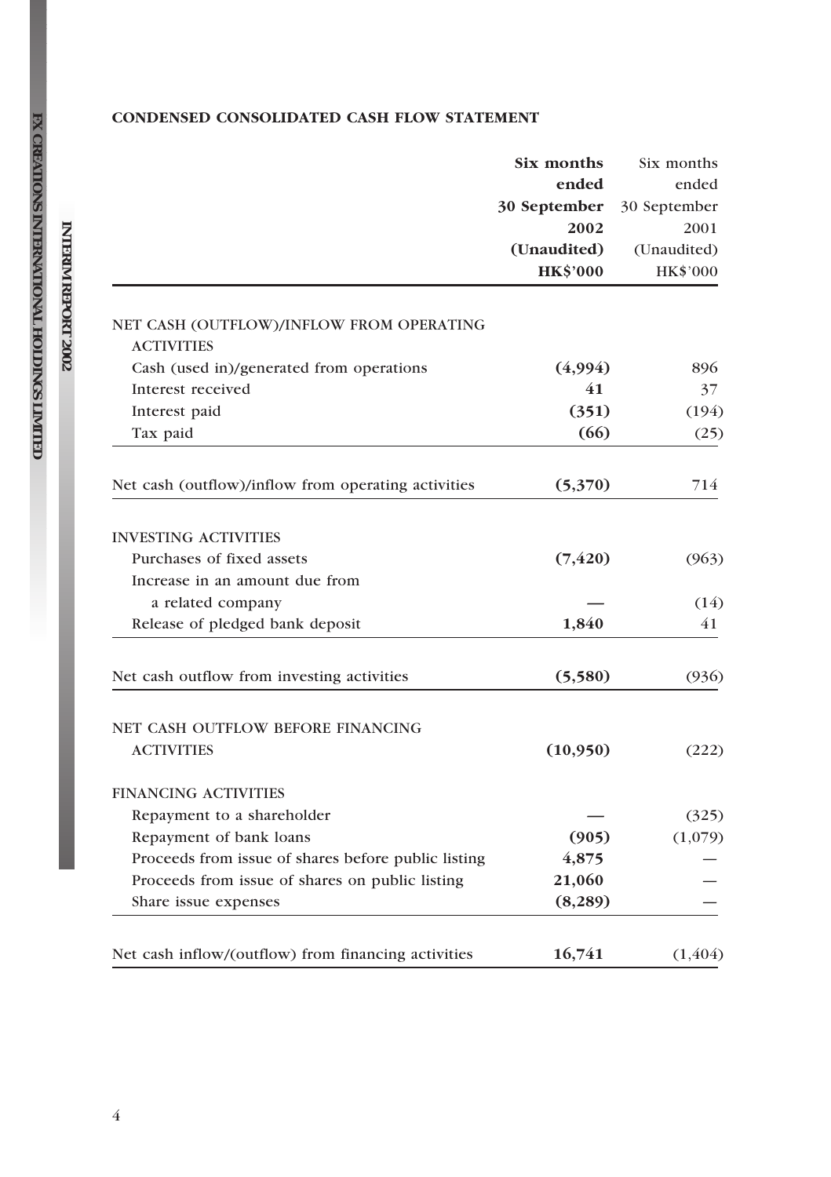## CONDENSED CONSOLIDATED CASH FLOW STATEMENT

|                                                               | Six months      | Six months   |  |
|---------------------------------------------------------------|-----------------|--------------|--|
|                                                               | ended           | ended        |  |
|                                                               | 30 September    | 30 September |  |
|                                                               | 2002            | 2001         |  |
|                                                               | (Unaudited)     | (Unaudited)  |  |
|                                                               | <b>HK\$'000</b> | HK\$'000     |  |
| NET CASH (OUTFLOW)/INFLOW FROM OPERATING<br><b>ACTIVITIES</b> |                 |              |  |
| Cash (used in)/generated from operations                      | (4,994)         | 896          |  |
| Interest received                                             | 41              | 37           |  |
| Interest paid                                                 | (351)           | (194)        |  |
| Tax paid                                                      | (66)            | (25)         |  |
| Net cash (outflow)/inflow from operating activities           | (5,370)         | 714          |  |
| <b>INVESTING ACTIVITIES</b>                                   |                 |              |  |
| Purchases of fixed assets                                     | (7, 420)        | (963)        |  |
| Increase in an amount due from                                |                 |              |  |
| a related company                                             |                 | (14)         |  |
| Release of pledged bank deposit                               | 1,840           | 41           |  |
| Net cash outflow from investing activities                    | (5,580)         | (936)        |  |
| NET CASH OUTFLOW BEFORE FINANCING                             |                 |              |  |
| <b>ACTIVITIES</b>                                             | (10,950)        | (222)        |  |
| <b>FINANCING ACTIVITIES</b>                                   |                 |              |  |
| Repayment to a shareholder                                    |                 | (325)        |  |
| Repayment of bank loans                                       | (905)           | (1,079)      |  |
| Proceeds from issue of shares before public listing           | 4,875           |              |  |
| Proceeds from issue of shares on public listing               | 21,060          |              |  |
| Share issue expenses                                          | (8, 289)        |              |  |
| Net cash inflow/(outflow) from financing activities           | 16,741          | (1, 404)     |  |

**FX** 

**INTERIM**

 **REPORT**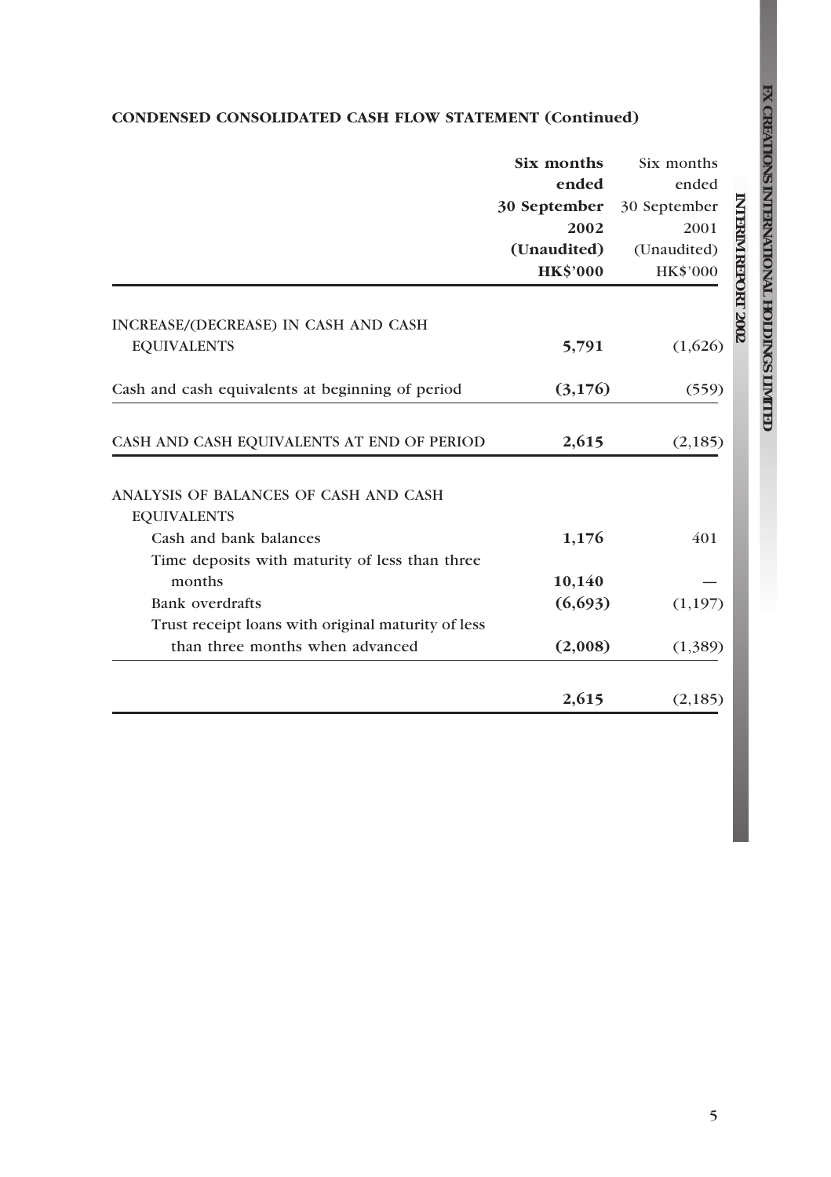## CONDENSED CONSOLIDATED CASH FLOW STATEMENT (Continued)

|                                                             | Six months      | Six months                |
|-------------------------------------------------------------|-----------------|---------------------------|
|                                                             | ended           | ended                     |
|                                                             | 30 September    | 30 September              |
|                                                             | 2002            | 2001                      |
|                                                             | (Unaudited)     | (Unaudited)               |
|                                                             | <b>HK\$'000</b> | HK\$'000                  |
|                                                             |                 | <b>NTERIM REPORT 2002</b> |
| INCREASE/(DECREASE) IN CASH AND CASH                        |                 |                           |
| <b>EQUIVALENTS</b>                                          | 5,791           | (1,626)                   |
| Cash and cash equivalents at beginning of period            | (3,176)         | (559)                     |
|                                                             |                 |                           |
| CASH AND CASH EQUIVALENTS AT END OF PERIOD                  | 2,615           | (2, 185)                  |
| ANALYSIS OF BALANCES OF CASH AND CASH<br><b>EQUIVALENTS</b> |                 |                           |
| Cash and bank balances                                      | 1,176           | 401                       |
| Time deposits with maturity of less than three              |                 |                           |
| months                                                      | 10,140          |                           |
| Bank overdrafts                                             | (6,693)         | (1, 197)                  |
| Trust receipt loans with original maturity of less          |                 |                           |
| than three months when advanced                             | (2,008)         | (1,389)                   |
|                                                             |                 |                           |
|                                                             | 2,615           | (2,185)                   |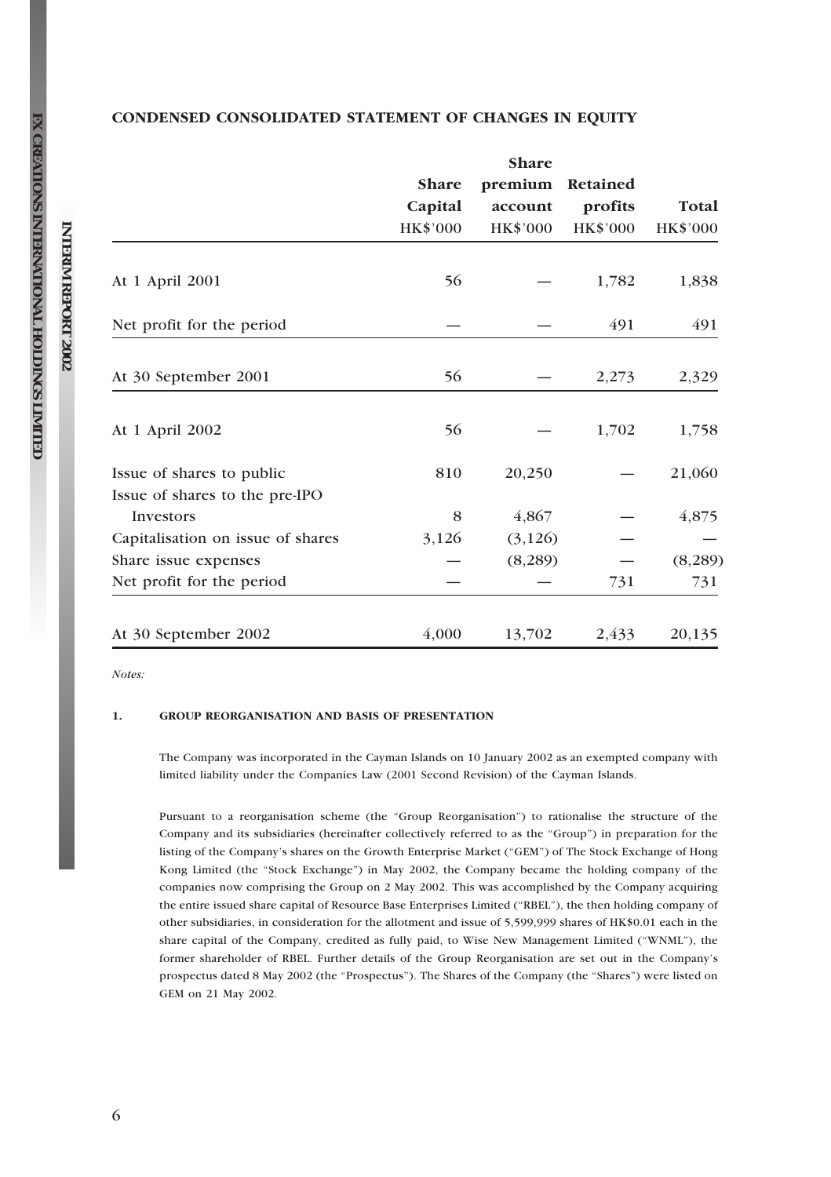|                                                             | <b>Share</b><br>Capital<br>HK\$'000 | <b>Share</b><br>premium<br>account<br>HK\$'000 | Retained<br>profits<br>HK\$'000 | Total<br>HK\$'000 |
|-------------------------------------------------------------|-------------------------------------|------------------------------------------------|---------------------------------|-------------------|
|                                                             |                                     |                                                |                                 |                   |
| At 1 April 2001                                             | 56                                  |                                                | 1,782                           | 1,838             |
| Net profit for the period                                   |                                     |                                                | 491                             | 491               |
| At 30 September 2001                                        | 56                                  |                                                | 2,273                           | 2,329             |
| At 1 April 2002                                             | 56                                  |                                                | 1,702                           | 1,758             |
| Issue of shares to public<br>Issue of shares to the pre-IPO | 810                                 | 20,250                                         |                                 | 21,060            |
| Investors                                                   | 8                                   | 4,867                                          |                                 | 4,875             |
| Capitalisation on issue of shares                           | 3,126                               | (3, 126)                                       |                                 |                   |
| Share issue expenses                                        |                                     | (8, 289)                                       |                                 | (8, 289)          |
| Net profit for the period                                   |                                     |                                                | 731                             | 731               |
| At 30 September 2002                                        | 4,000                               | 13,702                                         | 2,433                           | 20,135            |

## CONDENSED CONSOLIDATED STATEMENT OF CHANGES IN EQUITY

Notes:

#### 1. GROUP REORGANISATION AND BASIS OF PRESENTATION

The Company was incorporated in the Cayman Islands on 10 January 2002 as an exempted company with limited liability under the Companies Law (2001 Second Revision) of the Cayman Islands.

Pursuant to a reorganisation scheme (the ''Group Reorganisation'') to rationalise the structure of the Company and its subsidiaries (hereinafter collectively referred to as the ''Group'') in preparation for the listing of the Company's shares on the Growth Enterprise Market (''GEM'') of The Stock Exchange of Hong Kong Limited (the "Stock Exchange") in May 2002, the Company became the holding company of the companies now comprising the Group on 2 May 2002. This was accomplished by the Company acquiring the entire issued share capital of Resource Base Enterprises Limited (''RBEL''), the then holding company of other subsidiaries, in consideration for the allotment and issue of 5,599,999 shares of HK\$0.01 each in the share capital of the Company, credited as fully paid, to Wise New Management Limited (''WNML''), the former shareholder of RBEL. Further details of the Group Reorganisation are set out in the Company's prospectus dated 8 May 2002 (the "Prospectus"). The Shares of the Company (the "Shares") were listed on GEM on 21 May 2002.

**FX** 

**INTERIM**

 **REPORT**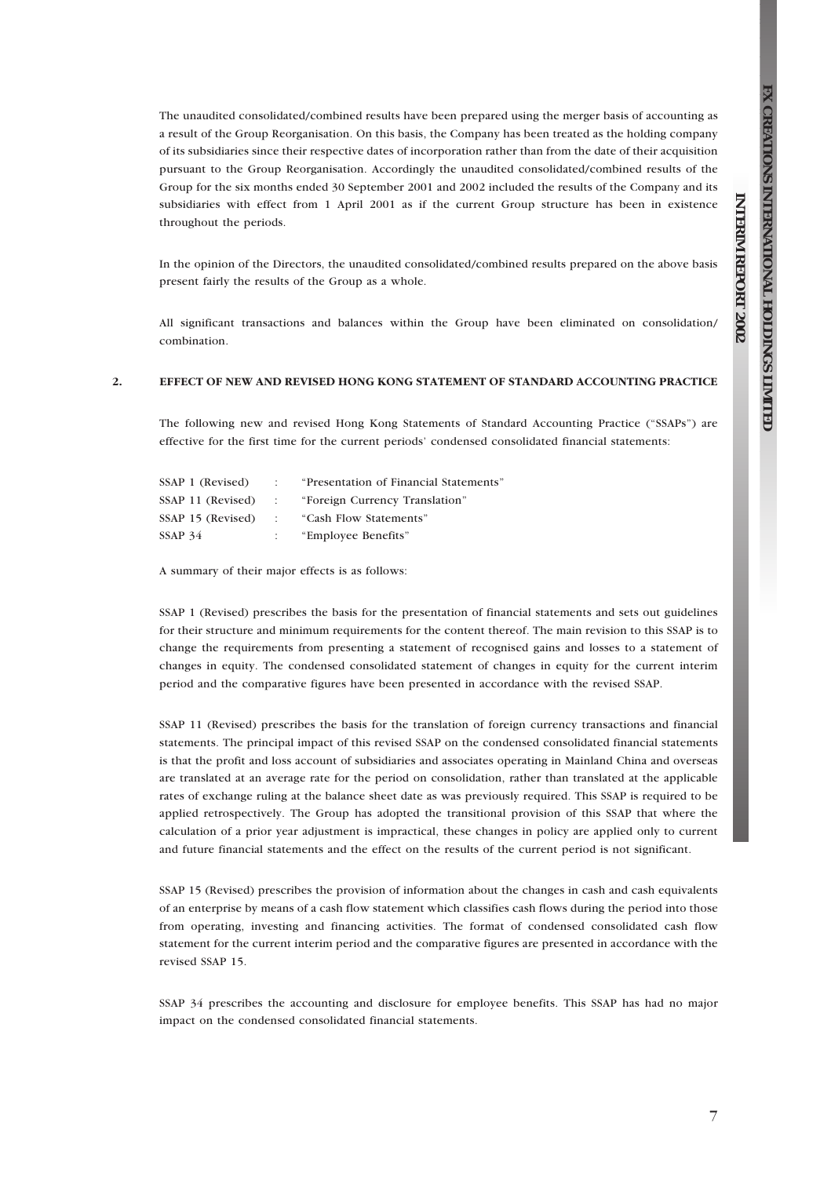**REPORT**

 **2002**

The unaudited consolidated/combined results have been prepared using the merger basis of accounting as a result of the Group Reorganisation. On this basis, the Company has been treated as the holding company of its subsidiaries since their respective dates of incorporation rather than from the date of their acquisition pursuant to the Group Reorganisation. Accordingly the unaudited consolidated/combined results of the Group for the six months ended 30 September 2001 and 2002 included the results of the Company and its subsidiaries with effect from 1 April 2001 as if the current Group structure has been in existence throughout the periods.

In the opinion of the Directors, the unaudited consolidated/combined results prepared on the above basis present fairly the results of the Group as a whole.

All significant transactions and balances within the Group have been eliminated on consolidation/ combination.

#### 2. EFFECT OF NEW AND REVISED HONG KONG STATEMENT OF STANDARD ACCOUNTING PRACTICE

The following new and revised Hong Kong Statements of Standard Accounting Practice ("SSAPs") are effective for the first time for the current periods' condensed consolidated financial statements:

| SSAP 1 (Revised)  |                   | "Presentation of Financial Statements" |
|-------------------|-------------------|----------------------------------------|
| SSAP 11 (Revised) | <b>COLLECTION</b> | "Foreign Currency Translation"         |
| SSAP 15 (Revised) | $\sim$ $\sim$     | "Cash Flow Statements"                 |
| SSAP 34           |                   | "Employee Benefits"                    |

A summary of their major effects is as follows:

SSAP 1 (Revised) prescribes the basis for the presentation of financial statements and sets out guidelines for their structure and minimum requirements for the content thereof. The main revision to this SSAP is to change the requirements from presenting a statement of recognised gains and losses to a statement of changes in equity. The condensed consolidated statement of changes in equity for the current interim period and the comparative figures have been presented in accordance with the revised SSAP.

SSAP 11 (Revised) prescribes the basis for the translation of foreign currency transactions and financial statements. The principal impact of this revised SSAP on the condensed consolidated financial statements is that the profit and loss account of subsidiaries and associates operating in Mainland China and overseas are translated at an average rate for the period on consolidation, rather than translated at the applicable rates of exchange ruling at the balance sheet date as was previously required. This SSAP is required to be applied retrospectively. The Group has adopted the transitional provision of this SSAP that where the calculation of a prior year adjustment is impractical, these changes in policy are applied only to current and future financial statements and the effect on the results of the current period is not significant.

SSAP 15 (Revised) prescribes the provision of information about the changes in cash and cash equivalents of an enterprise by means of a cash flow statement which classifies cash flows during the period into those from operating, investing and financing activities. The format of condensed consolidated cash flow statement for the current interim period and the comparative figures are presented in accordance with the revised SSAP 15.

SSAP 34 prescribes the accounting and disclosure for employee benefits. This SSAP has had no major impact on the condensed consolidated financial statements.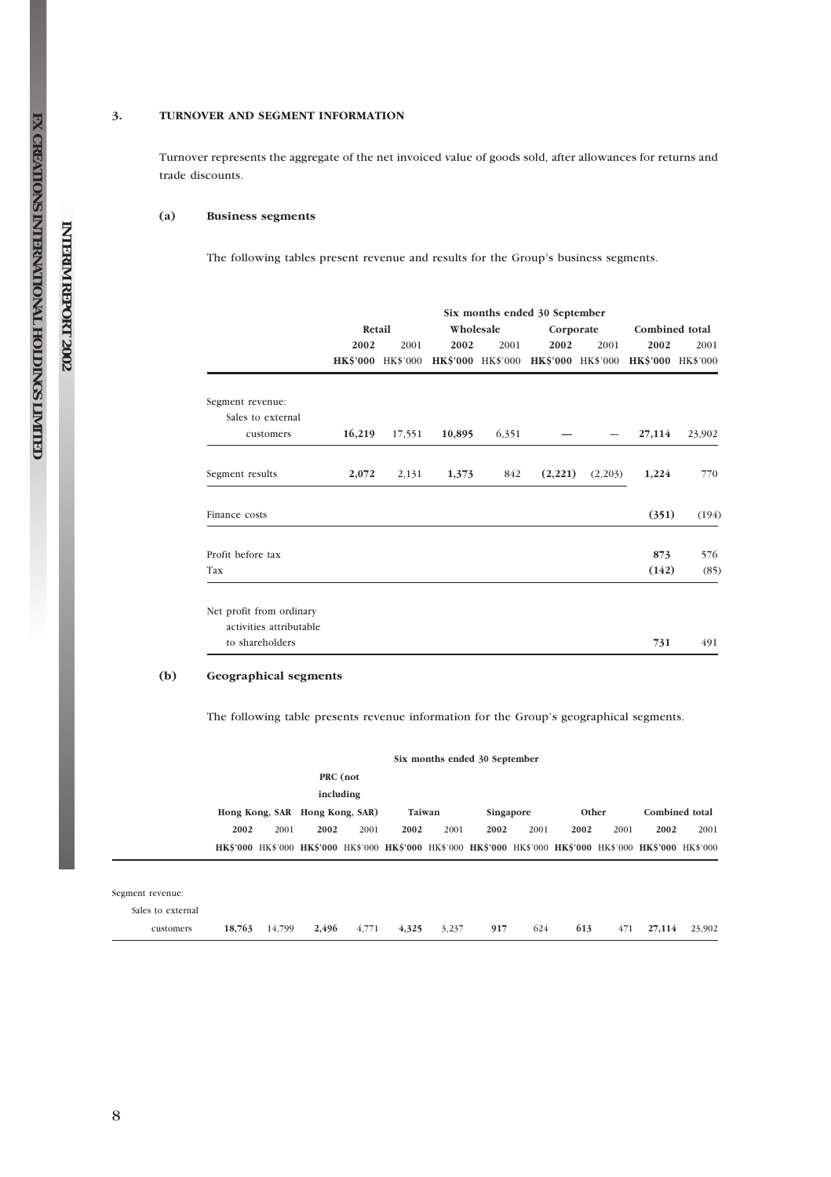#### 3. TURNOVER AND SEGMENT INFORMATION

Turnover represents the aggregate of the net invoiced value of goods sold, after allowances for returns and trade discounts.

#### (a) Business segments

The following tables present revenue and results for the Group's business segments.

|                          | Six months ended 30 September |                   |           |       |                                     |         |                   |                |  |
|--------------------------|-------------------------------|-------------------|-----------|-------|-------------------------------------|---------|-------------------|----------------|--|
|                          | Retail                        |                   | Wholesale |       | Corporate                           |         |                   | Combined total |  |
|                          | 2002                          | 2001              | 2002      | 2001  | 2002                                | 2001    | 2002              | 2001           |  |
|                          |                               | HK\$'000 HK\$'000 |           |       | HK\$'000 HK\$'000 HK\$'000 HK\$'000 |         | HK\$'000 HK\$'000 |                |  |
| Segment revenue:         |                               |                   |           |       |                                     |         |                   |                |  |
| Sales to external        |                               |                   |           |       |                                     |         |                   |                |  |
| customers                | 16,219                        | 17,551            | 10,895    | 6,351 |                                     |         | 27,114            | 23,902         |  |
| Segment results          | 2,072                         | 2,131             | 1,373     | 842   | (2,221)                             | (2,203) | 1,224             | 770            |  |
| Finance costs            |                               |                   |           |       |                                     |         | (351)             | (194)          |  |
| Profit before tax        |                               |                   |           |       |                                     |         | 873               | 576            |  |
| Tax                      |                               |                   |           |       |                                     |         | (142)             | (85)           |  |
| Net profit from ordinary |                               |                   |           |       |                                     |         |                   |                |  |
| activities attributable  |                               |                   |           |       |                                     |         |                   |                |  |
| to shareholders          |                               |                   |           |       |                                     |         | 731               | 491            |  |

#### (b) Geographical segments

The following table presents revenue information for the Group's geographical segments.

|                   |      |      |                                |           |                                                                                                             |      | Six months ended 30 September |      |       |      |      |                       |
|-------------------|------|------|--------------------------------|-----------|-------------------------------------------------------------------------------------------------------------|------|-------------------------------|------|-------|------|------|-----------------------|
|                   |      |      |                                | PRC (not  |                                                                                                             |      |                               |      |       |      |      |                       |
|                   |      |      |                                | including |                                                                                                             |      |                               |      |       |      |      |                       |
|                   |      |      | Hong Kong, SAR Hong Kong, SAR) |           | Taiwan                                                                                                      |      | Singapore                     |      | Other |      |      | <b>Combined</b> total |
|                   | 2002 | 2001 | 2002                           | 2001      | 2002                                                                                                        | 2001 | 2002                          | 2001 | 2002  | 2001 | 2002 | 2001                  |
|                   |      |      |                                |           | HK\$'000 HK\$'000 HK\$'000 HK\$'000 HK\$'000 HK\$'000 HK\$'000 HK\$'000 HK\$'000 HK\$'000 HK\$'000 HK\$'000 |      |                               |      |       |      |      |                       |
|                   |      |      |                                |           |                                                                                                             |      |                               |      |       |      |      |                       |
| Segment revenue:  |      |      |                                |           |                                                                                                             |      |                               |      |       |      |      |                       |
| Sales to external |      |      |                                |           |                                                                                                             |      |                               |      |       |      |      |                       |

customers 18,763 14,799 2,496 4,771 4,325 3,237 917 624 613 471 27,114 23,902

**INTERIM REPORT 2002**

**FX** 

**CREATIONS**

 **INTERNATIONAL**

 **HOLDINGS**

 **LIMITED**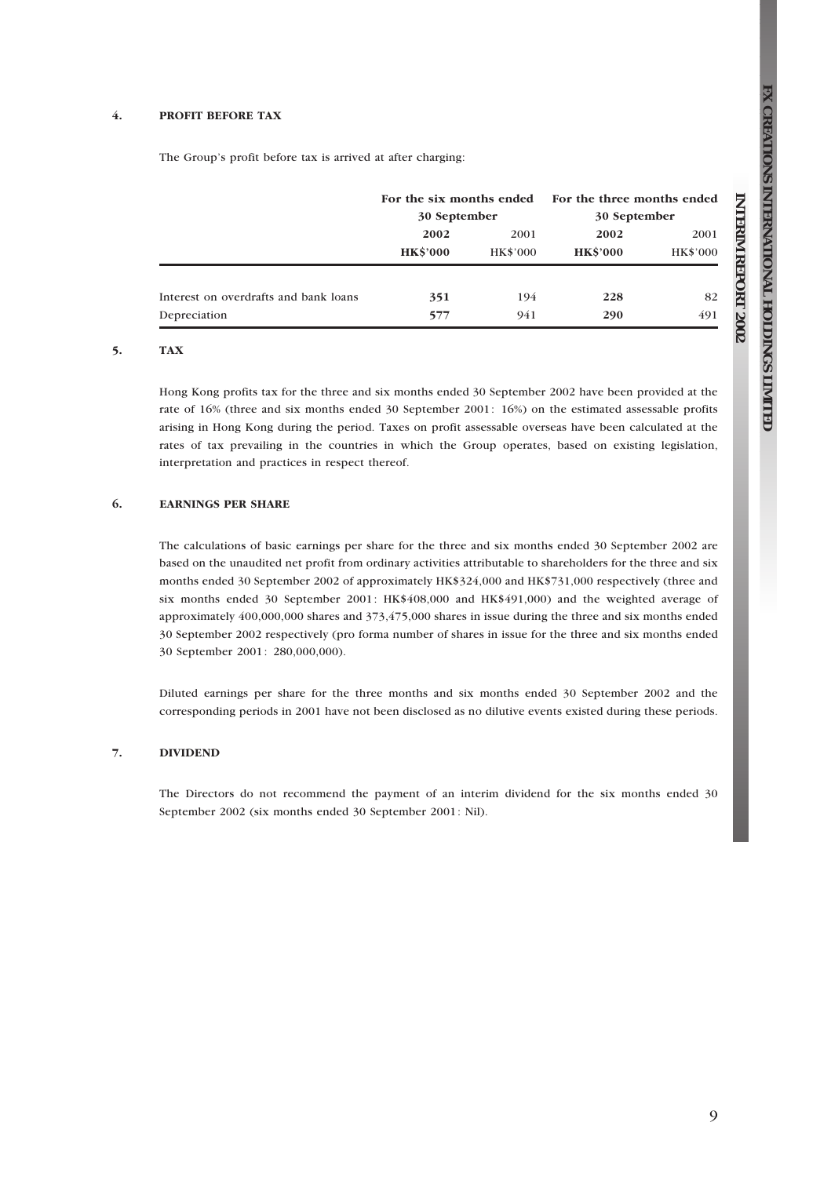**REPORT**

 **2002**

#### 4. PROFIT BEFORE TAX

The Group's profit before tax is arrived at after charging:

|                                       | 30 September            |                         |                         | For the six months ended For the three months ended<br>30 September |  |  |
|---------------------------------------|-------------------------|-------------------------|-------------------------|---------------------------------------------------------------------|--|--|
|                                       | 2002<br><b>HK\$'000</b> | 2001<br><b>HK\$'000</b> | 2002<br><b>HK\$'000</b> | 2001<br><b>HK\$'000</b>                                             |  |  |
| Interest on overdrafts and bank loans | 351                     | 194                     | 228                     | 82                                                                  |  |  |
| Depreciation                          | 577                     | 941                     | 290                     | 491                                                                 |  |  |

#### 5. TAX

Hong Kong profits tax for the three and six months ended 30 September 2002 have been provided at the rate of 16% (three and six months ended 30 September 2001: 16%) on the estimated assessable profits arising in Hong Kong during the period. Taxes on profit assessable overseas have been calculated at the rates of tax prevailing in the countries in which the Group operates, based on existing legislation, interpretation and practices in respect thereof.

#### 6. EARNINGS PER SHARE

The calculations of basic earnings per share for the three and six months ended 30 September 2002 are based on the unaudited net profit from ordinary activities attributable to shareholders for the three and six months ended 30 September 2002 of approximately HK\$324,000 and HK\$731,000 respectively (three and six months ended 30 September 2001: HK\$408,000 and HK\$491,000) and the weighted average of approximately 400,000,000 shares and 373,475,000 shares in issue during the three and six months ended 30 September 2002 respectively (pro forma number of shares in issue for the three and six months ended 30 September 2001: 280,000,000).

Diluted earnings per share for the three months and six months ended 30 September 2002 and the corresponding periods in 2001 have not been disclosed as no dilutive events existed during these periods.

#### 7. DIVIDEND

The Directors do not recommend the payment of an interim dividend for the six months ended 30 September 2002 (six months ended 30 September 2001: Nil).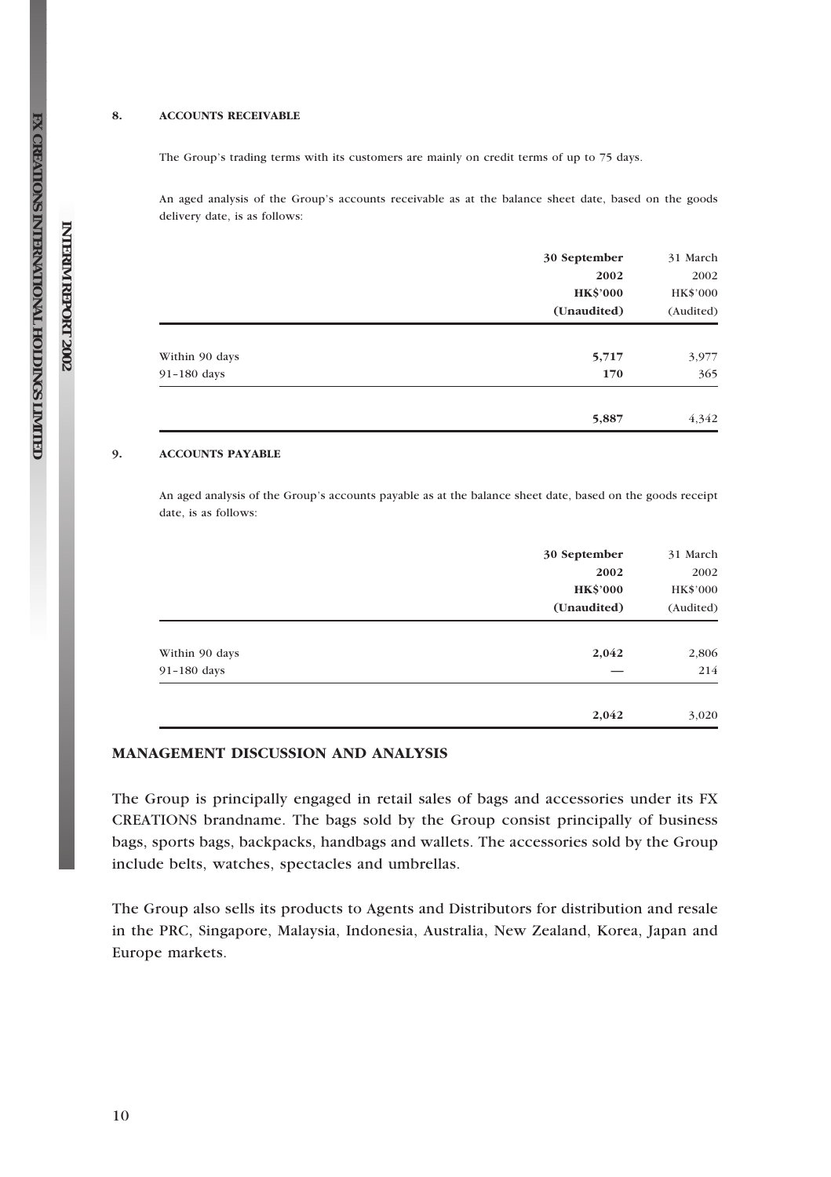#### 8. ACCOUNTS RECEIVABLE

The Group's trading terms with its customers are mainly on credit terms of up to 75 days.

An aged analysis of the Group's accounts receivable as at the balance sheet date, based on the goods delivery date, is as follows:

|                | 30 September    | 31 March  |
|----------------|-----------------|-----------|
|                | 2002            | 2002      |
|                | <b>HK\$'000</b> | HK\$'000  |
|                | (Unaudited)     | (Audited) |
| Within 90 days | 5,717           | 3,977     |
| 91-180 days    | 170             | 365       |
|                | 5,887           | 4,342     |

#### 9. ACCOUNTS PAYABLE

An aged analysis of the Group's accounts payable as at the balance sheet date, based on the goods receipt date, is as follows:

|                | 30 September    | 31 March  |
|----------------|-----------------|-----------|
|                | 2002            | 2002      |
|                | <b>HK\$'000</b> | HK\$'000  |
|                | (Unaudited)     | (Audited) |
| Within 90 days | 2,042           | 2,806     |
| 91-180 days    |                 | 214       |
|                | 2,042           | 3,020     |

## MANAGEMENT DISCUSSION AND ANALYSIS

The Group is principally engaged in retail sales of bags and accessories under its FX CREATIONS brandname. The bags sold by the Group consist principally of business bags, sports bags, backpacks, handbags and wallets. The accessories sold by the Group include belts, watches, spectacles and umbrellas.

The Group also sells its products to Agents and Distributors for distribution and resale in the PRC, Singapore, Malaysia, Indonesia, Australia, New Zealand, Korea, Japan and Europe markets.

**FX** 

**INTERIM**

 **REPORT**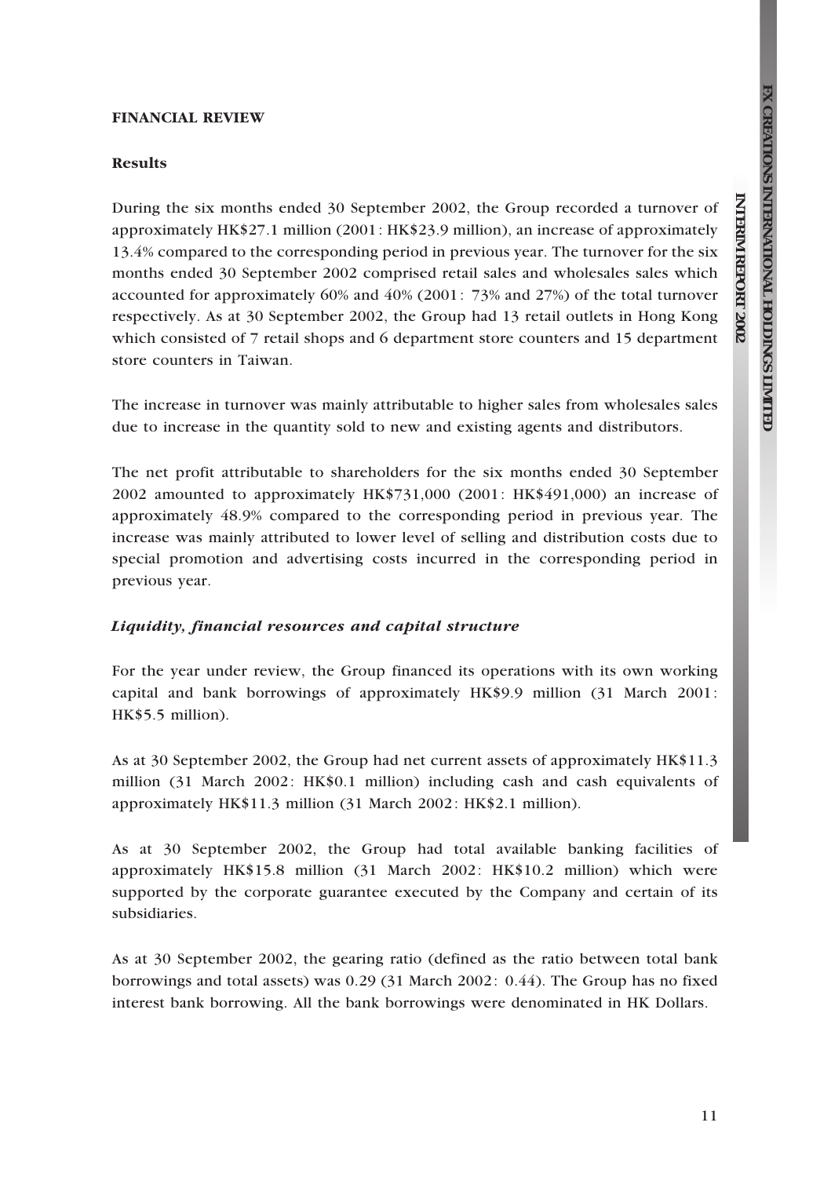**REPORT**

 **2002**

#### FINANCIAL REVIEW

#### Results

During the six months ended 30 September 2002, the Group recorded a turnover of approximately HK\$27.1 million (2001: HK\$23.9 million), an increase of approximately 13.4% compared to the corresponding period in previous year. The turnover for the six months ended 30 September 2002 comprised retail sales and wholesales sales which accounted for approximately 60% and 40% (2001: 73% and 27%) of the total turnover respectively. As at 30 September 2002, the Group had 13 retail outlets in Hong Kong which consisted of 7 retail shops and 6 department store counters and 15 department store counters in Taiwan.

The increase in turnover was mainly attributable to higher sales from wholesales sales due to increase in the quantity sold to new and existing agents and distributors.

The net profit attributable to shareholders for the six months ended 30 September 2002 amounted to approximately HK\$731,000 (2001: HK\$491,000) an increase of approximately 48.9% compared to the corresponding period in previous year. The increase was mainly attributed to lower level of selling and distribution costs due to special promotion and advertising costs incurred in the corresponding period in previous year.

#### Liquidity, financial resources and capital structure

For the year under review, the Group financed its operations with its own working capital and bank borrowings of approximately HK\$9.9 million (31 March 2001: HK\$5.5 million).

As at 30 September 2002, the Group had net current assets of approximately HK\$11.3 million (31 March 2002: HK\$0.1 million) including cash and cash equivalents of approximately HK\$11.3 million (31 March 2002: HK\$2.1 million).

As at 30 September 2002, the Group had total available banking facilities of approximately HK\$15.8 million (31 March 2002: HK\$10.2 million) which were supported by the corporate guarantee executed by the Company and certain of its subsidiaries.

As at 30 September 2002, the gearing ratio (defined as the ratio between total bank borrowings and total assets) was 0.29 (31 March 2002: 0.44). The Group has no fixed interest bank borrowing. All the bank borrowings were denominated in HK Dollars.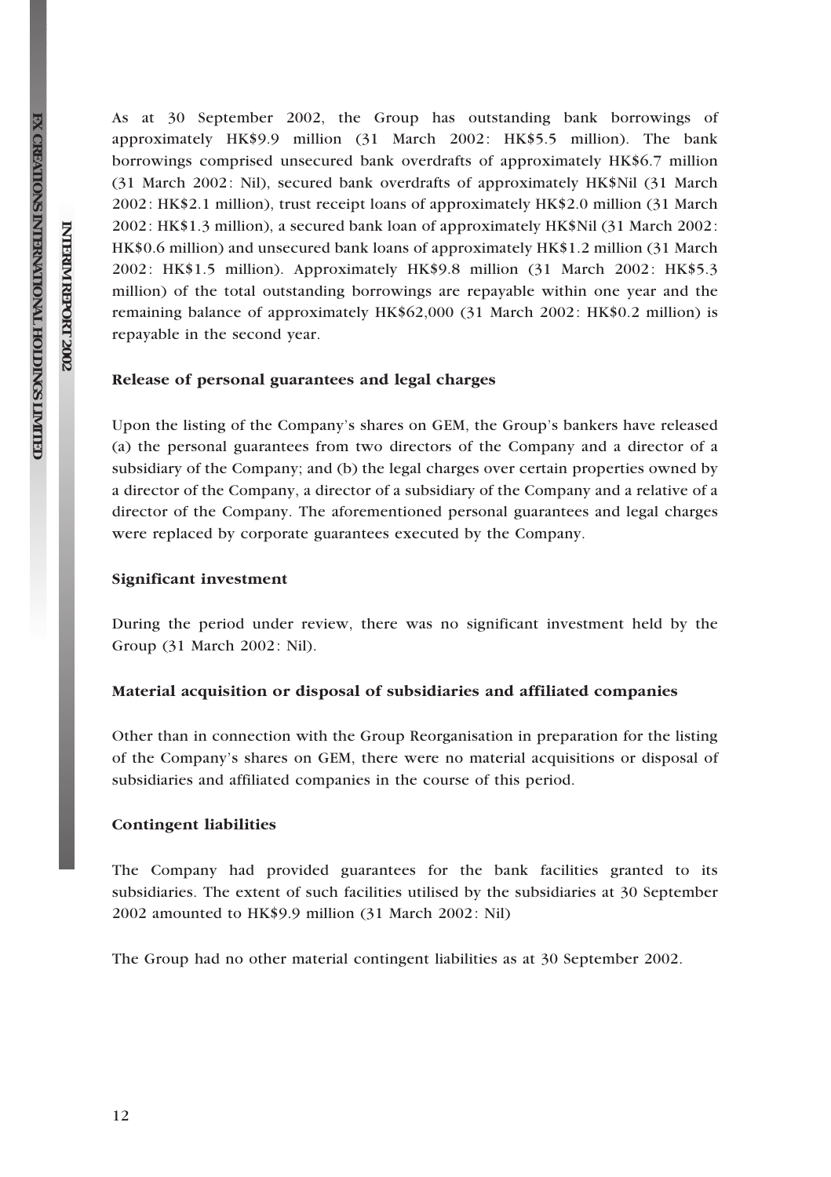As at 30 September 2002, the Group has outstanding bank borrowings of approximately HK\$9.9 million (31 March 2002: HK\$5.5 million). The bank borrowings comprised unsecured bank overdrafts of approximately HK\$6.7 million (31 March 2002: Nil), secured bank overdrafts of approximately HK\$Nil (31 March 2002: HK\$2.1 million), trust receipt loans of approximately HK\$2.0 million (31 March 2002: HK\$1.3 million), a secured bank loan of approximately HK\$Nil (31 March 2002: HK\$0.6 million) and unsecured bank loans of approximately HK\$1.2 million (31 March 2002: HK\$1.5 million). Approximately HK\$9.8 million (31 March 2002: HK\$5.3 million) of the total outstanding borrowings are repayable within one year and the remaining balance of approximately HK\$62,000 (31 March 2002: HK\$0.2 million) is repayable in the second year.

#### Release of personal guarantees and legal charges

Upon the listing of the Company's shares on GEM, the Group's bankers have released (a) the personal guarantees from two directors of the Company and a director of a subsidiary of the Company; and (b) the legal charges over certain properties owned by a director of the Company, a director of a subsidiary of the Company and a relative of a director of the Company. The aforementioned personal guarantees and legal charges were replaced by corporate guarantees executed by the Company.

#### Significant investment

During the period under review, there was no significant investment held by the Group (31 March 2002: Nil).

#### Material acquisition or disposal of subsidiaries and affiliated companies

Other than in connection with the Group Reorganisation in preparation for the listing of the Company's shares on GEM, there were no material acquisitions or disposal of subsidiaries and affiliated companies in the course of this period.

#### Contingent liabilities

The Company had provided guarantees for the bank facilities granted to its subsidiaries. The extent of such facilities utilised by the subsidiaries at 30 September 2002 amounted to HK\$9.9 million (31 March 2002: Nil)

The Group had no other material contingent liabilities as at 30 September 2002.

**FX** 

**INTERIM**

 **REPORT**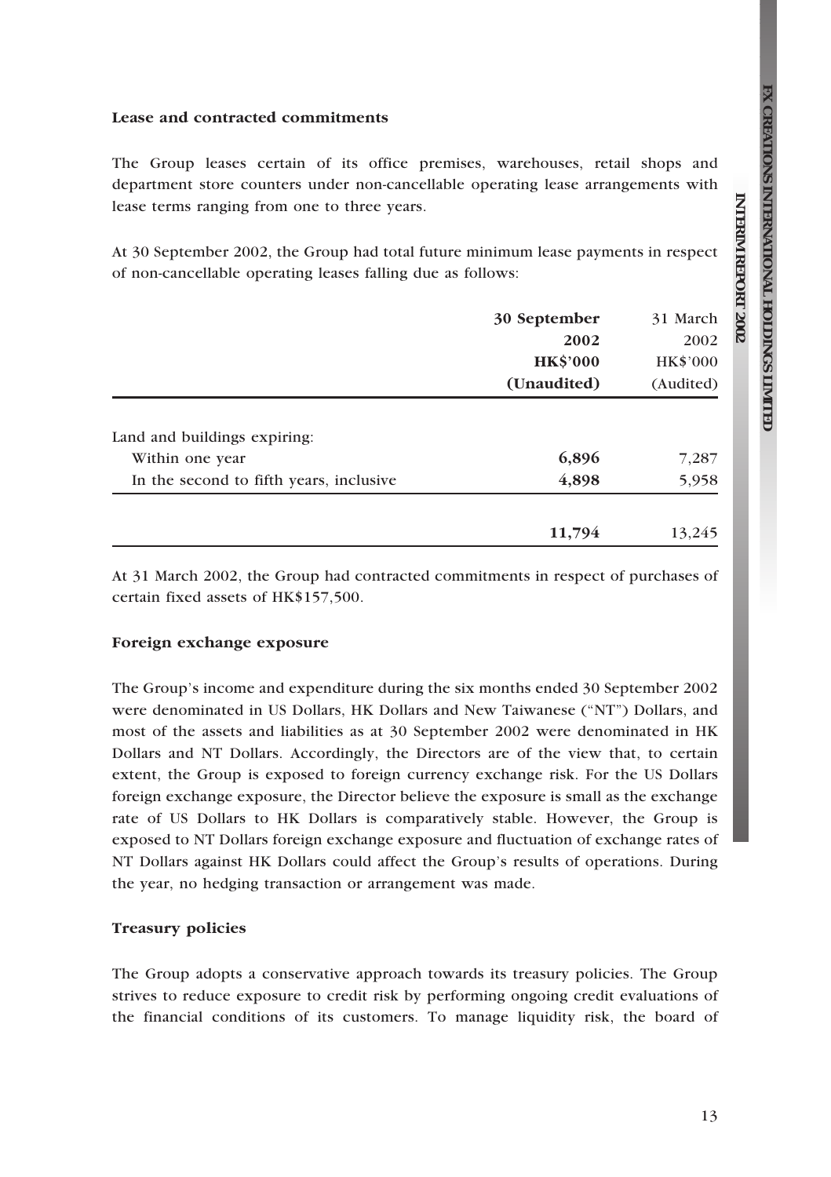**REPORT**

 **2002**

#### Lease and contracted commitments

The Group leases certain of its office premises, warehouses, retail shops and department store counters under non-cancellable operating lease arrangements with lease terms ranging from one to three years.

At 30 September 2002, the Group had total future minimum lease payments in respect of non-cancellable operating leases falling due as follows:

|                                         | 30 September   | 31 March        |
|-----------------------------------------|----------------|-----------------|
|                                         | 2002           | 2002            |
|                                         | <b>HKS'000</b> | <b>HK\$'000</b> |
|                                         | (Unaudited)    | (Audited)       |
| Land and buildings expiring:            |                |                 |
| Within one year                         | 6,896          | 7,287           |
| In the second to fifth years, inclusive | 4,898          | 5,958           |
|                                         | 11,794         | 13,245          |

At 31 March 2002, the Group had contracted commitments in respect of purchases of certain fixed assets of HK\$157,500.

#### Foreign exchange exposure

The Group's income and expenditure during the six months ended 30 September 2002 were denominated in US Dollars, HK Dollars and New Taiwanese (''NT'') Dollars, and most of the assets and liabilities as at 30 September 2002 were denominated in HK Dollars and NT Dollars. Accordingly, the Directors are of the view that, to certain extent, the Group is exposed to foreign currency exchange risk. For the US Dollars foreign exchange exposure, the Director believe the exposure is small as the exchange rate of US Dollars to HK Dollars is comparatively stable. However, the Group is exposed to NT Dollars foreign exchange exposure and fluctuation of exchange rates of NT Dollars against HK Dollars could affect the Group's results of operations. During the year, no hedging transaction or arrangement was made.

#### Treasury policies

The Group adopts a conservative approach towards its treasury policies. The Group strives to reduce exposure to credit risk by performing ongoing credit evaluations of the financial conditions of its customers. To manage liquidity risk, the board of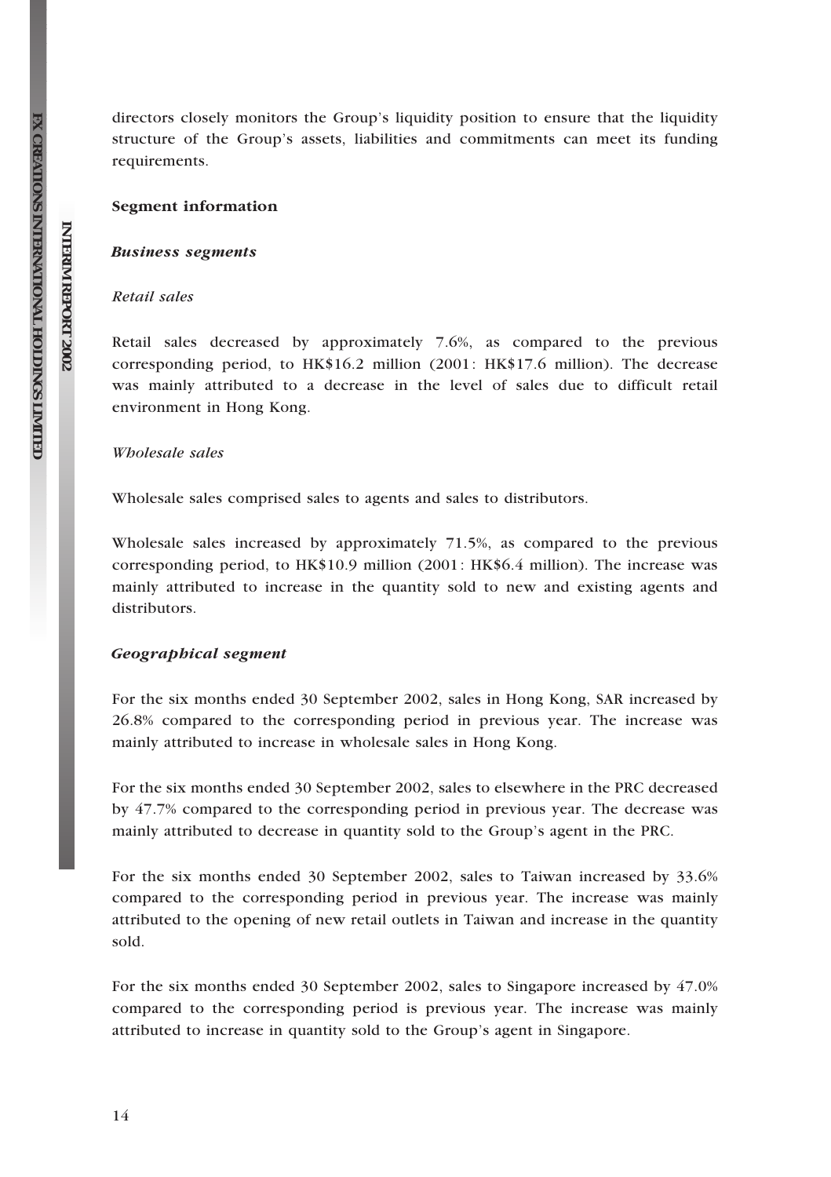directors closely monitors the Group's liquidity position to ensure that the liquidity structure of the Group's assets, liabilities and commitments can meet its funding requirements.

#### Segment information

#### Business segments

## Retail sales

Retail sales decreased by approximately 7.6%, as compared to the previous corresponding period, to HK\$16.2 million (2001: HK\$17.6 million). The decrease was mainly attributed to a decrease in the level of sales due to difficult retail environment in Hong Kong.

#### Wholesale sales

Wholesale sales comprised sales to agents and sales to distributors.

Wholesale sales increased by approximately 71.5%, as compared to the previous corresponding period, to HK\$10.9 million (2001: HK\$6.4 million). The increase was mainly attributed to increase in the quantity sold to new and existing agents and distributors.

#### Geographical segment

For the six months ended 30 September 2002, sales in Hong Kong, SAR increased by 26.8% compared to the corresponding period in previous year. The increase was mainly attributed to increase in wholesale sales in Hong Kong.

For the six months ended 30 September 2002, sales to elsewhere in the PRC decreased by 47.7% compared to the corresponding period in previous year. The decrease was mainly attributed to decrease in quantity sold to the Group's agent in the PRC.

For the six months ended 30 September 2002, sales to Taiwan increased by 33.6% compared to the corresponding period in previous year. The increase was mainly attributed to the opening of new retail outlets in Taiwan and increase in the quantity sold.

For the six months ended 30 September 2002, sales to Singapore increased by 47.0% compared to the corresponding period is previous year. The increase was mainly attributed to increase in quantity sold to the Group's agent in Singapore.

**FX** 

**INTERIM**

 **REPORT**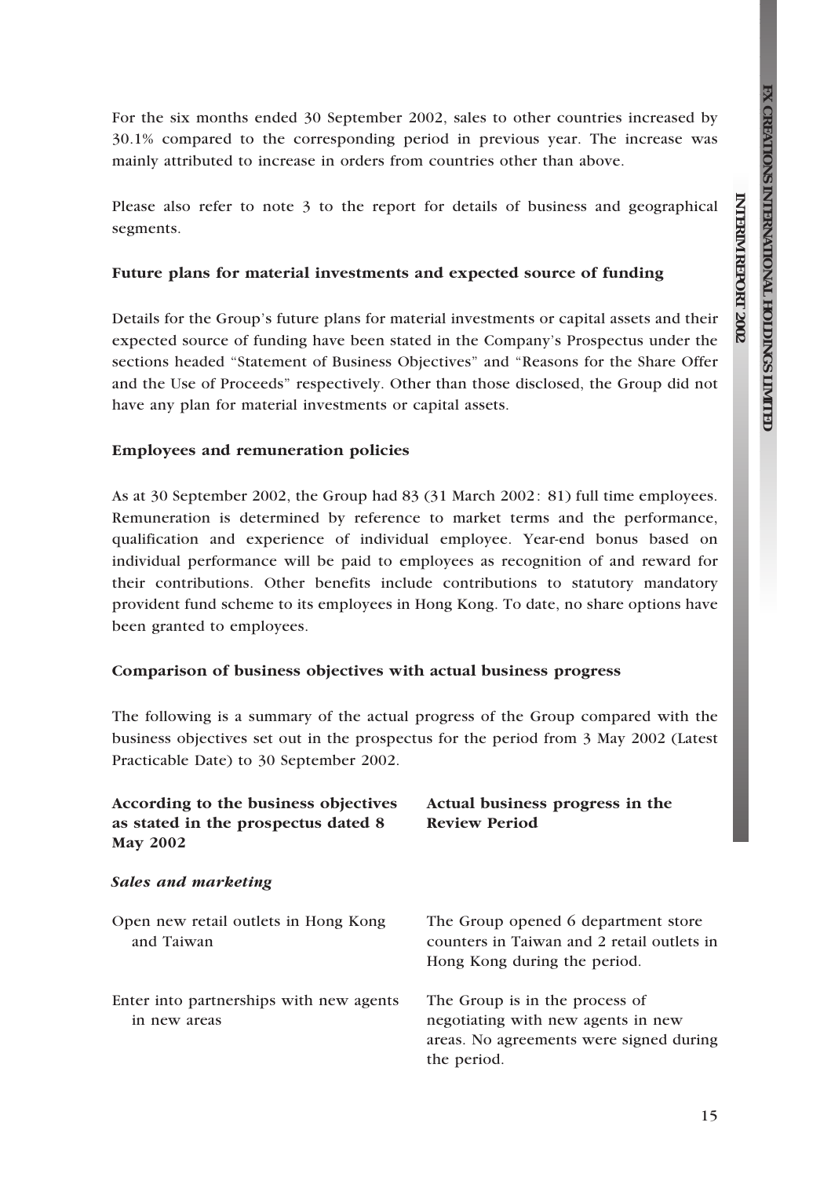**REPORT**

 **2002**

For the six months ended 30 September 2002, sales to other countries increased by 30.1% compared to the corresponding period in previous year. The increase was mainly attributed to increase in orders from countries other than above.

Please also refer to note 3 to the report for details of business and geographical segments.

## Future plans for material investments and expected source of funding

Details for the Group's future plans for material investments or capital assets and their expected source of funding have been stated in the Company's Prospectus under the sections headed ''Statement of Business Objectives'' and ''Reasons for the Share Offer and the Use of Proceeds'' respectively. Other than those disclosed, the Group did not have any plan for material investments or capital assets.

#### Employees and remuneration policies

As at 30 September 2002, the Group had 83 (31 March 2002: 81) full time employees. Remuneration is determined by reference to market terms and the performance, qualification and experience of individual employee. Year-end bonus based on individual performance will be paid to employees as recognition of and reward for their contributions. Other benefits include contributions to statutory mandatory provident fund scheme to its employees in Hong Kong. To date, no share options have been granted to employees.

### Comparison of business objectives with actual business progress

The following is a summary of the actual progress of the Group compared with the business objectives set out in the prospectus for the period from 3 May 2002 (Latest Practicable Date) to 30 September 2002.

| According to the business objectives<br>as stated in the prospectus dated 8<br><b>May 2002</b> | Actual business progress in the<br><b>Review Period</b>                                                                        |  |
|------------------------------------------------------------------------------------------------|--------------------------------------------------------------------------------------------------------------------------------|--|
| Sales and marketing                                                                            |                                                                                                                                |  |
| Open new retail outlets in Hong Kong<br>and Taiwan                                             | The Group opened 6 department store<br>counters in Taiwan and 2 retail outlets in<br>Hong Kong during the period.              |  |
| Enter into partnerships with new agents<br>in new areas                                        | The Group is in the process of<br>negotiating with new agents in new<br>areas. No agreements were signed during<br>the period. |  |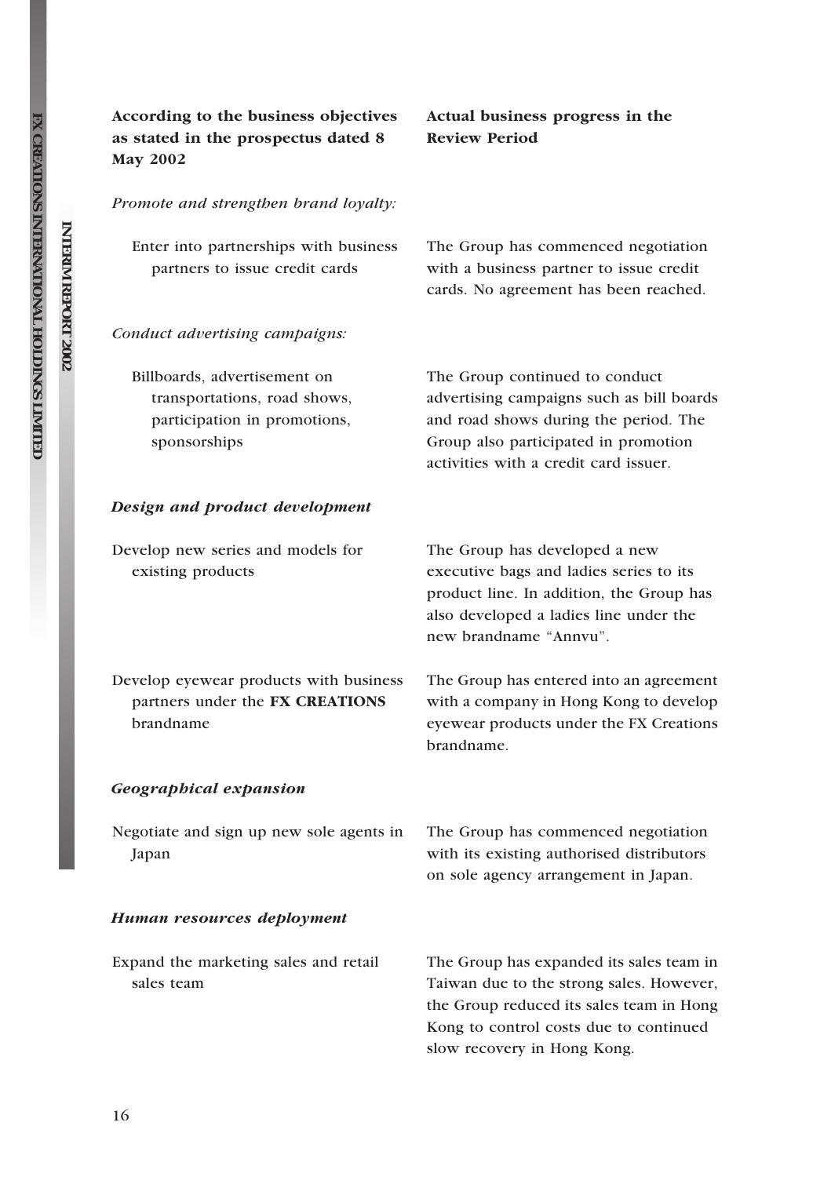**FX** 

**INTERIM**

 **REPORT**

 **2002**

## According to the business objectives as stated in the prospectus dated 8 May 2002

## Actual business progress in the Review Period

Promote and strengthen brand loyalty:

| Enter into partnerships with business | The Group has commenced negotiation     |
|---------------------------------------|-----------------------------------------|
| partners to issue credit cards        | with a business partner to issue credit |
|                                       | cards. No agreement has been reached.   |

#### Conduct advertising campaigns:

Billboards, advertisement on transportations, road shows, participation in promotions, sponsorships The Group continued to conduct advertising campaigns such as bill boards and road shows during the period. The Group also participated in promotion activities with a credit card issuer.

#### Design and product development

Develop new series and models for existing products

Develop eyewear products with business partners under the FX CREATIONS brandname

The Group has developed a new executive bags and ladies series to its product line. In addition, the Group has also developed a ladies line under the new brandname ''Annvu''.

The Group has entered into an agreement with a company in Hong Kong to develop eyewear products under the FX Creations brandname.

#### Geographical expansion

| Negotiate and sign up new sole agents in | The Group has commenced negotiation       |
|------------------------------------------|-------------------------------------------|
| Japan                                    | with its existing authorised distributors |
|                                          | on sole agency arrangement in Japan.      |

#### Human resources deployment

Expand the marketing sales and retail sales team The Group has expanded its sales team in Taiwan due to the strong sales. However, the Group reduced its sales team in Hong Kong to control costs due to continued slow recovery in Hong Kong.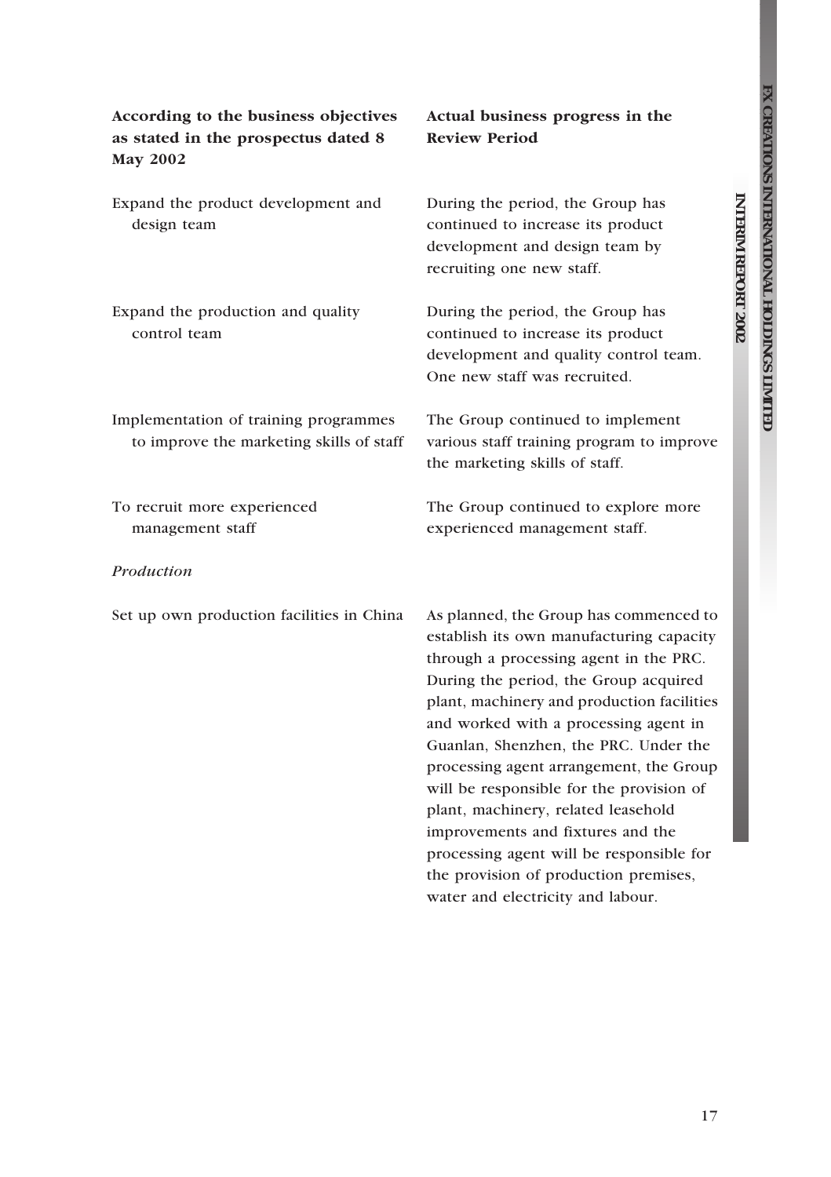**REPORT**

 **2002**

| According to the business objectives<br>as stated in the prospectus dated 8<br><b>May 2002</b> | Actual business progress in the<br><b>Review Period</b>                                                                                                                                                                                                                                                                                                                                                                                                                                                              |
|------------------------------------------------------------------------------------------------|----------------------------------------------------------------------------------------------------------------------------------------------------------------------------------------------------------------------------------------------------------------------------------------------------------------------------------------------------------------------------------------------------------------------------------------------------------------------------------------------------------------------|
| Expand the product development and<br>design team                                              | During the period, the Group has<br>continued to increase its product<br>development and design team by<br>recruiting one new staff.                                                                                                                                                                                                                                                                                                                                                                                 |
| Expand the production and quality<br>control team                                              | During the period, the Group has<br>continued to increase its product<br>development and quality control team.<br>One new staff was recruited.                                                                                                                                                                                                                                                                                                                                                                       |
| Implementation of training programmes<br>to improve the marketing skills of staff              | The Group continued to implement<br>various staff training program to improve<br>the marketing skills of staff.                                                                                                                                                                                                                                                                                                                                                                                                      |
| To recruit more experienced<br>management staff                                                | The Group continued to explore more<br>experienced management staff.                                                                                                                                                                                                                                                                                                                                                                                                                                                 |
| Production                                                                                     |                                                                                                                                                                                                                                                                                                                                                                                                                                                                                                                      |
| Set up own production facilities in China                                                      | As planned, the Group has commenced to<br>establish its own manufacturing capacity<br>through a processing agent in the PRC.<br>During the period, the Group acquired<br>plant, machinery and production facilities<br>and worked with a processing agent in<br>Guanlan, Shenzhen, the PRC. Under the<br>processing agent arrangement, the Group<br>will be responsible for the provision of<br>plant, machinery, related leasehold<br>improvements and fixtures and the<br>processing agent will be responsible for |

the provision of production premises, water and electricity and labour.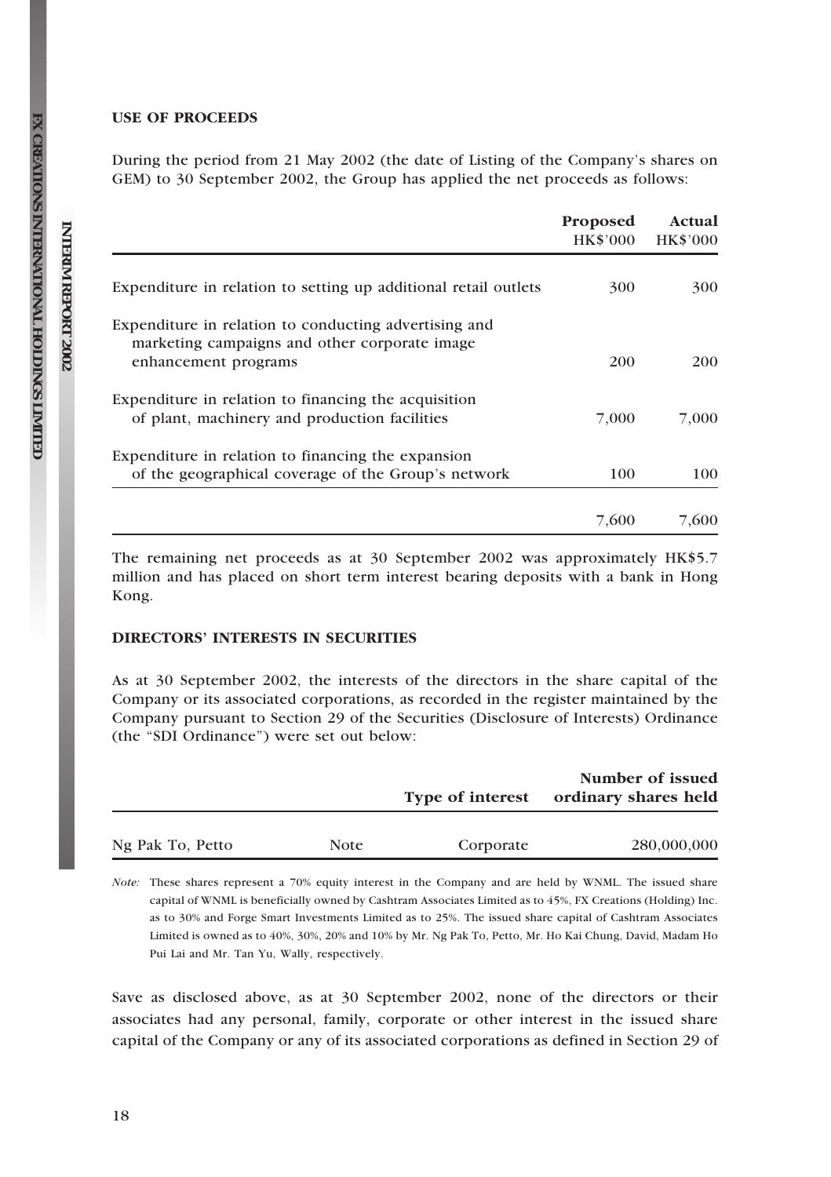### USE OF PROCEEDS

During the period from 21 May 2002 (the date of Listing of the Company's shares on GEM) to 30 September 2002, the Group has applied the net proceeds as follows:

|                                                                                                                                | Proposed<br><b>HK\$'000</b> | Actual<br><b>HK\$'000</b> |
|--------------------------------------------------------------------------------------------------------------------------------|-----------------------------|---------------------------|
| Expenditure in relation to setting up additional retail outlets                                                                | 300                         | 300                       |
| Expenditure in relation to conducting advertising and<br>marketing campaigns and other corporate image<br>enhancement programs | 200                         | 200                       |
| Expenditure in relation to financing the acquisition                                                                           |                             |                           |
| of plant, machinery and production facilities                                                                                  | 7,000                       | 7.000                     |
| Expenditure in relation to financing the expansion<br>of the geographical coverage of the Group's network                      | 100                         | 100                       |
|                                                                                                                                | 7,600                       | 7.600                     |

The remaining net proceeds as at 30 September 2002 was approximately HK\$5.7 million and has placed on short term interest bearing deposits with a bank in Hong Kong.

## DIRECTORS' INTERESTS IN SECURITIES

As at 30 September 2002, the interests of the directors in the share capital of the Company or its associated corporations, as recorded in the register maintained by the Company pursuant to Section 29 of the Securities (Disclosure of Interests) Ordinance (the "SDI Ordinance") were set out below:

|                  |      |                  | Number of issued     |
|------------------|------|------------------|----------------------|
|                  |      | Type of interest | ordinary shares held |
|                  |      |                  |                      |
| Ng Pak To, Petto | Note | Corporate        | 280,000,000          |

Note: These shares represent a 70% equity interest in the Company and are held by WNML. The issued share capital of WNML is beneficially owned by Cashtram Associates Limited as to 45%, FX Creations (Holding) Inc. as to 30% and Forge Smart Investments Limited as to 25%. The issued share capital of Cashtram Associates Limited is owned as to 40%, 30%, 20% and 10% by Mr. Ng Pak To, Petto, Mr. Ho Kai Chung, David, Madam Ho Pui Lai and Mr. Tan Yu, Wally, respectively.

Save as disclosed above, as at 30 September 2002, none of the directors or their associates had any personal, family, corporate or other interest in the issued share capital of the Company or any of its associated corporations as defined in Section 29 of

**FX** 

**INTERIM**

 **REPORT**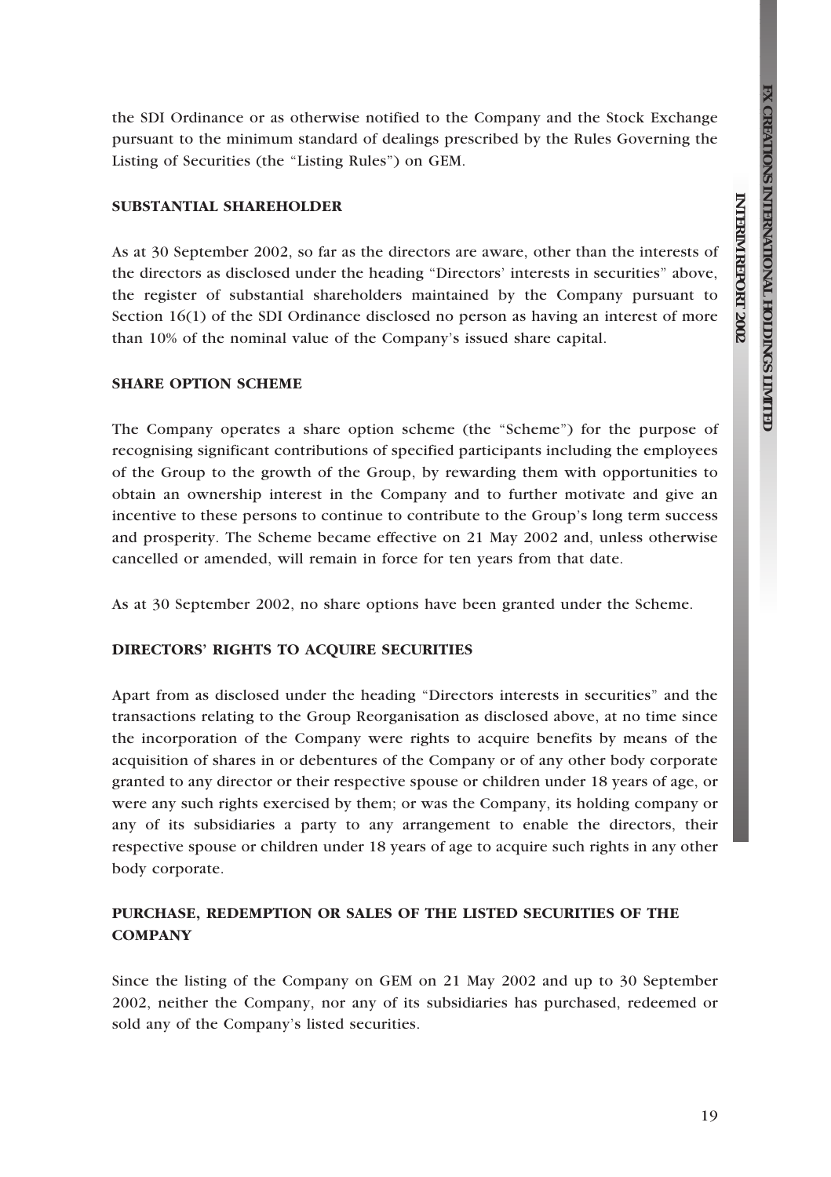**REPORT**

 **2002**

the SDI Ordinance or as otherwise notified to the Company and the Stock Exchange pursuant to the minimum standard of dealings prescribed by the Rules Governing the Listing of Securities (the "Listing Rules") on GEM.

### SUBSTANTIAL SHAREHOLDER

As at 30 September 2002, so far as the directors are aware, other than the interests of the directors as disclosed under the heading ''Directors' interests in securities'' above, the register of substantial shareholders maintained by the Company pursuant to Section 16(1) of the SDI Ordinance disclosed no person as having an interest of more than 10% of the nominal value of the Company's issued share capital.

## SHARE OPTION SCHEME

The Company operates a share option scheme (the "Scheme") for the purpose of recognising significant contributions of specified participants including the employees of the Group to the growth of the Group, by rewarding them with opportunities to obtain an ownership interest in the Company and to further motivate and give an incentive to these persons to continue to contribute to the Group's long term success and prosperity. The Scheme became effective on 21 May 2002 and, unless otherwise cancelled or amended, will remain in force for ten years from that date.

As at 30 September 2002, no share options have been granted under the Scheme.

### DIRECTORS' RIGHTS TO ACQUIRE SECURITIES

Apart from as disclosed under the heading ''Directors interests in securities'' and the transactions relating to the Group Reorganisation as disclosed above, at no time since the incorporation of the Company were rights to acquire benefits by means of the acquisition of shares in or debentures of the Company or of any other body corporate granted to any director or their respective spouse or children under 18 years of age, or were any such rights exercised by them; or was the Company, its holding company or any of its subsidiaries a party to any arrangement to enable the directors, their respective spouse or children under 18 years of age to acquire such rights in any other body corporate.

## PURCHASE, REDEMPTION OR SALES OF THE LISTED SECURITIES OF THE COMPANY

Since the listing of the Company on GEM on 21 May 2002 and up to 30 September 2002, neither the Company, nor any of its subsidiaries has purchased, redeemed or sold any of the Company's listed securities.